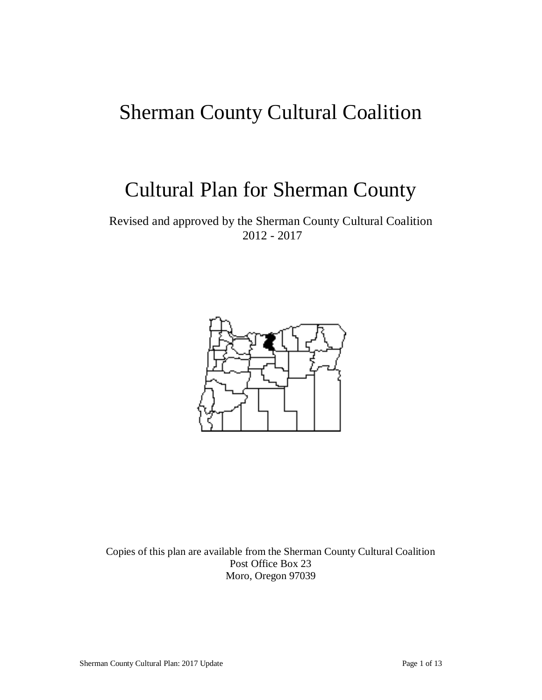# Sherman County Cultural Coalition

# Cultural Plan for Sherman County

Revised and approved by the Sherman County Cultural Coalition 2012 - 2017



Copies of this plan are available from the Sherman County Cultural Coalition Post Office Box 23 Moro, Oregon 97039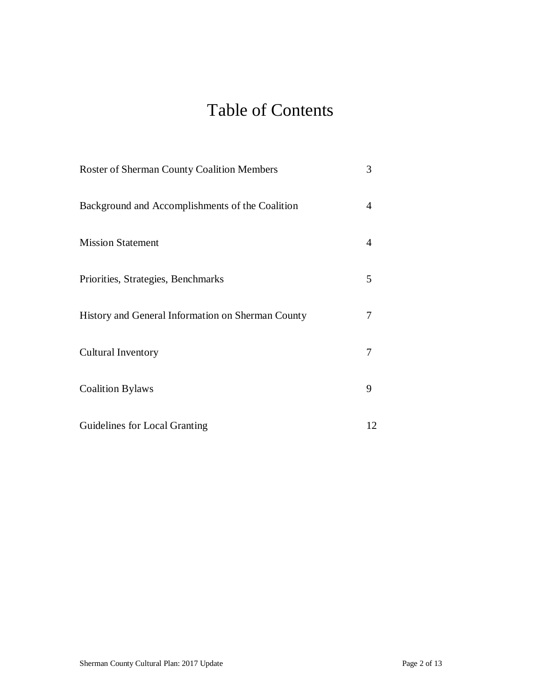## Table of Contents

| <b>Roster of Sherman County Coalition Members</b> | 3  |
|---------------------------------------------------|----|
| Background and Accomplishments of the Coalition   | 4  |
| <b>Mission Statement</b>                          | 4  |
| Priorities, Strategies, Benchmarks                | 5  |
| History and General Information on Sherman County | 7  |
| <b>Cultural Inventory</b>                         | 7  |
| <b>Coalition Bylaws</b>                           | 9  |
| Guidelines for Local Granting                     | 12 |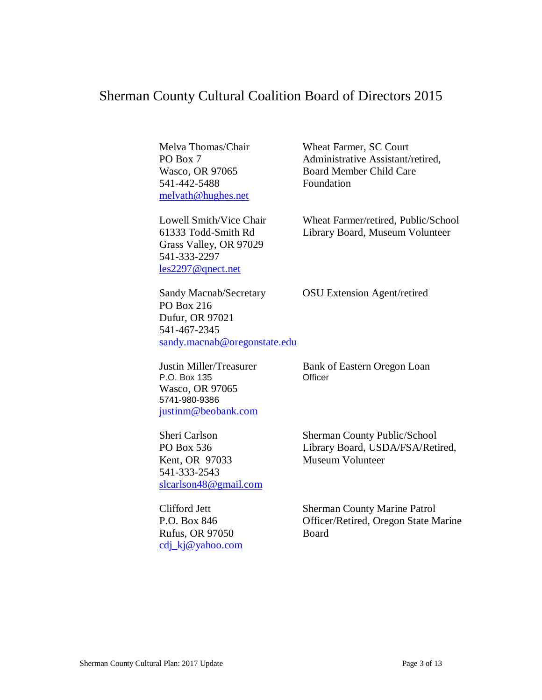### Sherman County Cultural Coalition Board of Directors 2015

541-442-5488 Foundation melvath@hughes.net

Grass Valley, OR 97029 541-333-2297 les2297@qnect.net

Melva Thomas/Chair Wheat Farmer, SC Court PO Box 7 Administrative Assistant/retired, Wasco, OR 97065 Board Member Child Care

Lowell Smith/Vice Chair Wheat Farmer/retired, Public/School 61333 Todd-Smith Rd Library Board, Museum Volunteer

Sandy Macnab/Secretary OSU Extension Agent/retired PO Box 216 Dufur, OR 97021 541-467-2345 sandy.macnab@oregonstate.edu

P.O. Box  $135$ Wasco, OR 97065 5741-980-9386 justinm@beobank.com

Kent, OR 97033 Museum Volunteer 541-333-2543 slcarlson48@gmail.com

Rufus, OR 97050 Board cdj\_kj@yahoo.com

Justin Miller/Treasurer Bank of Eastern Oregon Loan<br>P.O. Box 135 Officer

Sheri Carlson Sherman County Public/School PO Box 536 Library Board, USDA/FSA/Retired,

Clifford Jett Sherman County Marine Patrol P.O. Box 846 **Officer/Retired, Oregon State Marine**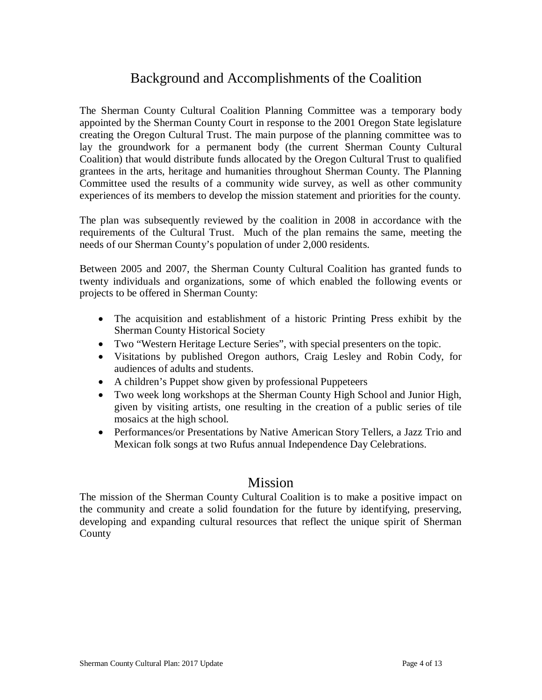## Background and Accomplishments of the Coalition

The Sherman County Cultural Coalition Planning Committee was a temporary body appointed by the Sherman County Court in response to the 2001 Oregon State legislature creating the Oregon Cultural Trust. The main purpose of the planning committee was to lay the groundwork for a permanent body (the current Sherman County Cultural Coalition) that would distribute funds allocated by the Oregon Cultural Trust to qualified grantees in the arts, heritage and humanities throughout Sherman County. The Planning Committee used the results of a community wide survey, as well as other community experiences of its members to develop the mission statement and priorities for the county.

The plan was subsequently reviewed by the coalition in 2008 in accordance with the requirements of the Cultural Trust. Much of the plan remains the same, meeting the needs of our Sherman County's population of under 2,000 residents.

Between 2005 and 2007, the Sherman County Cultural Coalition has granted funds to twenty individuals and organizations, some of which enabled the following events or projects to be offered in Sherman County:

- The acquisition and establishment of a historic Printing Press exhibit by the Sherman County Historical Society
- Two "Western Heritage Lecture Series", with special presenters on the topic.
- Visitations by published Oregon authors, Craig Lesley and Robin Cody, for audiences of adults and students.
- A children's Puppet show given by professional Puppeteers
- Two week long workshops at the Sherman County High School and Junior High, given by visiting artists, one resulting in the creation of a public series of tile mosaics at the high school.
- Performances/or Presentations by Native American Story Tellers, a Jazz Trio and Mexican folk songs at two Rufus annual Independence Day Celebrations.

### **Mission**

The mission of the Sherman County Cultural Coalition is to make a positive impact on the community and create a solid foundation for the future by identifying, preserving, developing and expanding cultural resources that reflect the unique spirit of Sherman County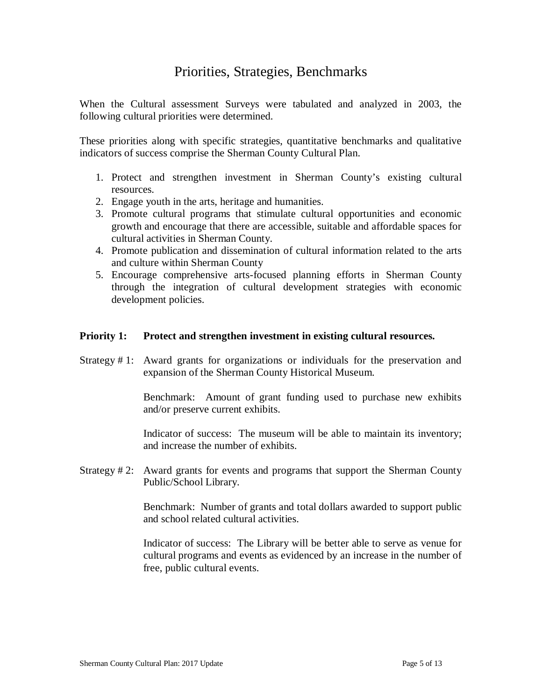## Priorities, Strategies, Benchmarks

When the Cultural assessment Surveys were tabulated and analyzed in 2003, the following cultural priorities were determined.

These priorities along with specific strategies, quantitative benchmarks and qualitative indicators of success comprise the Sherman County Cultural Plan.

- 1. Protect and strengthen investment in Sherman County's existing cultural resources.
- 2. Engage youth in the arts, heritage and humanities.
- 3. Promote cultural programs that stimulate cultural opportunities and economic growth and encourage that there are accessible, suitable and affordable spaces for cultural activities in Sherman County.
- 4. Promote publication and dissemination of cultural information related to the arts and culture within Sherman County
- 5. Encourage comprehensive arts-focused planning efforts in Sherman County through the integration of cultural development strategies with economic development policies.

### **Priority 1: Protect and strengthen investment in existing cultural resources.**

Strategy # 1: Award grants for organizations or individuals for the preservation and expansion of the Sherman County Historical Museum.

> Benchmark: Amount of grant funding used to purchase new exhibits and/or preserve current exhibits.

> Indicator of success: The museum will be able to maintain its inventory; and increase the number of exhibits.

Strategy # 2: Award grants for events and programs that support the Sherman County Public/School Library.

> Benchmark: Number of grants and total dollars awarded to support public and school related cultural activities.

> Indicator of success: The Library will be better able to serve as venue for cultural programs and events as evidenced by an increase in the number of free, public cultural events.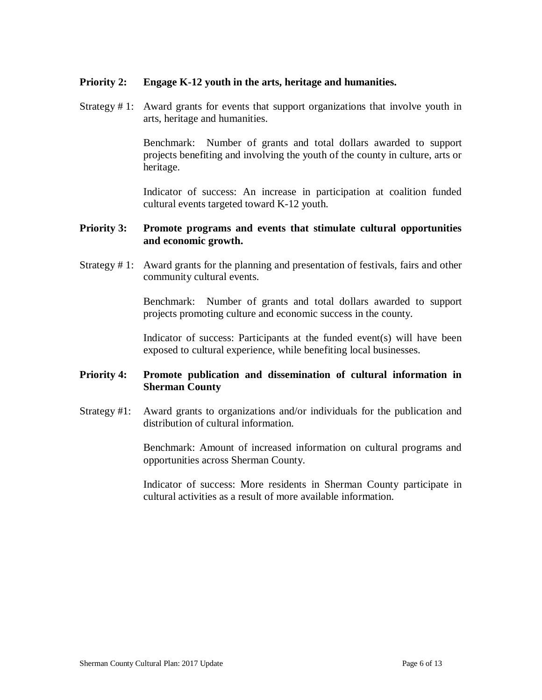### **Priority 2: Engage K-12 youth in the arts, heritage and humanities.**

Strategy # 1: Award grants for events that support organizations that involve youth in arts, heritage and humanities.

> Benchmark: Number of grants and total dollars awarded to support projects benefiting and involving the youth of the county in culture, arts or heritage.

> Indicator of success: An increase in participation at coalition funded cultural events targeted toward K-12 youth.

### **Priority 3: Promote programs and events that stimulate cultural opportunities and economic growth.**

Strategy # 1: Award grants for the planning and presentation of festivals, fairs and other community cultural events.

> Benchmark: Number of grants and total dollars awarded to support projects promoting culture and economic success in the county.

> Indicator of success: Participants at the funded event(s) will have been exposed to cultural experience, while benefiting local businesses.

### **Priority 4: Promote publication and dissemination of cultural information in Sherman County**

Strategy #1: Award grants to organizations and/or individuals for the publication and distribution of cultural information.

> Benchmark: Amount of increased information on cultural programs and opportunities across Sherman County.

> Indicator of success: More residents in Sherman County participate in cultural activities as a result of more available information.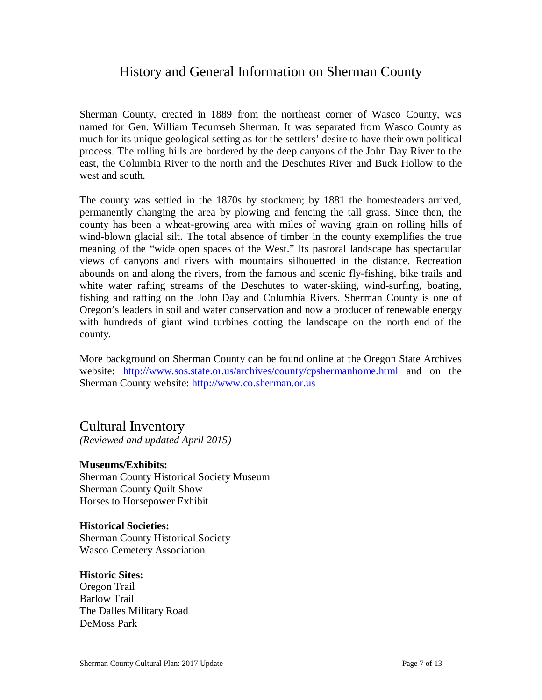## History and General Information on Sherman County

Sherman County, created in 1889 from the northeast corner of Wasco County, was named for Gen. William Tecumseh Sherman. It was separated from Wasco County as much for its unique geological setting as for the settlers' desire to have their own political process. The rolling hills are bordered by the deep canyons of the John Day River to the east, the Columbia River to the north and the Deschutes River and Buck Hollow to the west and south.

The county was settled in the 1870s by stockmen; by 1881 the homesteaders arrived, permanently changing the area by plowing and fencing the tall grass. Since then, the county has been a wheat-growing area with miles of waving grain on rolling hills of wind-blown glacial silt. The total absence of timber in the county exemplifies the true meaning of the "wide open spaces of the West." Its pastoral landscape has spectacular views of canyons and rivers with mountains silhouetted in the distance. Recreation abounds on and along the rivers, from the famous and scenic fly-fishing, bike trails and white water rafting streams of the Deschutes to water-skiing, wind-surfing, boating, fishing and rafting on the John Day and Columbia Rivers. Sherman County is one of Oregon's leaders in soil and water conservation and now a producer of renewable energy with hundreds of giant wind turbines dotting the landscape on the north end of the county.

More background on Sherman County can be found online at the Oregon State Archives website: http://www.sos.state.or.us/archives/county/cpshermanhome.html and on the Sherman County website: http://www.co.sherman.or.us

### Cultural Inventory

*(Reviewed and updated April 2015)*

### **Museums/Exhibits:**

Sherman County Historical Society Museum Sherman County Quilt Show Horses to Horsepower Exhibit

### **Historical Societies:**

Sherman County Historical Society Wasco Cemetery Association

### **Historic Sites:**

Oregon Trail Barlow Trail The Dalles Military Road DeMoss Park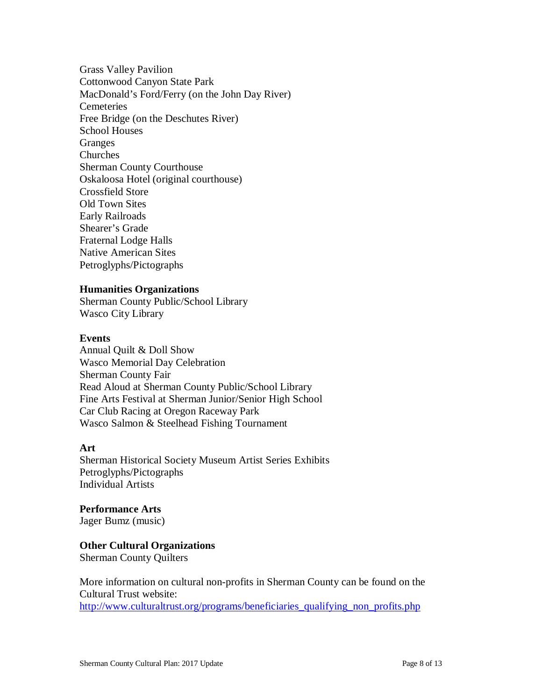Grass Valley Pavilion Cottonwood Canyon State Park MacDonald's Ford/Ferry (on the John Day River) **Cemeteries** Free Bridge (on the Deschutes River) School Houses Granges Churches Sherman County Courthouse Oskaloosa Hotel (original courthouse) Crossfield Store Old Town Sites Early Railroads Shearer's Grade Fraternal Lodge Halls Native American Sites Petroglyphs/Pictographs

### **Humanities Organizations**

Sherman County Public/School Library Wasco City Library

#### **Events**

Annual Quilt & Doll Show Wasco Memorial Day Celebration Sherman County Fair Read Aloud at Sherman County Public/School Library Fine Arts Festival at Sherman Junior/Senior High School Car Club Racing at Oregon Raceway Park Wasco Salmon & Steelhead Fishing Tournament

### **Art**

Sherman Historical Society Museum Artist Series Exhibits Petroglyphs/Pictographs Individual Artists

**Performance Arts**  Jager Bumz (music)

**Other Cultural Organizations**

Sherman County Quilters

More information on cultural non-profits in Sherman County can be found on the Cultural Trust website: http://www.culturaltrust.org/programs/beneficiaries\_qualifying\_non\_profits.php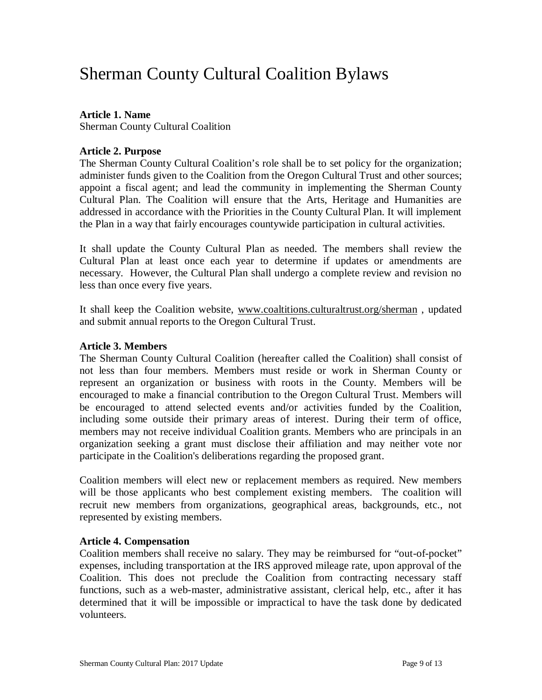## Sherman County Cultural Coalition Bylaws

### **Article 1. Name**

Sherman County Cultural Coalition

### **Article 2. Purpose**

The Sherman County Cultural Coalition's role shall be to set policy for the organization; administer funds given to the Coalition from the Oregon Cultural Trust and other sources; appoint a fiscal agent; and lead the community in implementing the Sherman County Cultural Plan. The Coalition will ensure that the Arts, Heritage and Humanities are addressed in accordance with the Priorities in the County Cultural Plan. It will implement the Plan in a way that fairly encourages countywide participation in cultural activities.

It shall update the County Cultural Plan as needed. The members shall review the Cultural Plan at least once each year to determine if updates or amendments are necessary. However, the Cultural Plan shall undergo a complete review and revision no less than once every five years.

It shall keep the Coalition website, www.coaltitions.culturaltrust.org/sherman , updated and submit annual reports to the Oregon Cultural Trust.

### **Article 3. Members**

The Sherman County Cultural Coalition (hereafter called the Coalition) shall consist of not less than four members. Members must reside or work in Sherman County or represent an organization or business with roots in the County. Members will be encouraged to make a financial contribution to the Oregon Cultural Trust. Members will be encouraged to attend selected events and/or activities funded by the Coalition, including some outside their primary areas of interest. During their term of office, members may not receive individual Coalition grants. Members who are principals in an organization seeking a grant must disclose their affiliation and may neither vote nor participate in the Coalition's deliberations regarding the proposed grant.

Coalition members will elect new or replacement members as required. New members will be those applicants who best complement existing members. The coalition will recruit new members from organizations, geographical areas, backgrounds, etc., not represented by existing members.

### **Article 4. Compensation**

Coalition members shall receive no salary. They may be reimbursed for "out-of-pocket" expenses, including transportation at the IRS approved mileage rate, upon approval of the Coalition. This does not preclude the Coalition from contracting necessary staff functions, such as a web-master, administrative assistant, clerical help, etc., after it has determined that it will be impossible or impractical to have the task done by dedicated volunteers.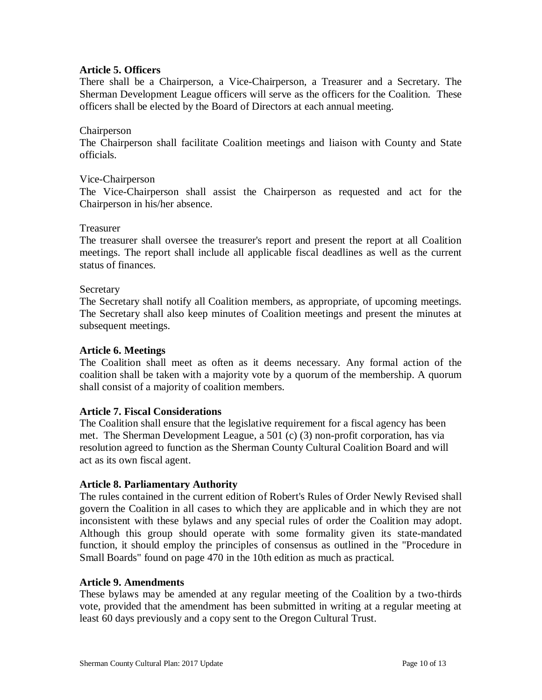### **Article 5. Officers**

There shall be a Chairperson, a Vice-Chairperson, a Treasurer and a Secretary. The Sherman Development League officers will serve as the officers for the Coalition. These officers shall be elected by the Board of Directors at each annual meeting.

### Chairperson

The Chairperson shall facilitate Coalition meetings and liaison with County and State officials.

### Vice-Chairperson

The Vice-Chairperson shall assist the Chairperson as requested and act for the Chairperson in his/her absence.

### Treasurer

The treasurer shall oversee the treasurer's report and present the report at all Coalition meetings. The report shall include all applicable fiscal deadlines as well as the current status of finances.

### Secretary

The Secretary shall notify all Coalition members, as appropriate, of upcoming meetings. The Secretary shall also keep minutes of Coalition meetings and present the minutes at subsequent meetings.

#### **Article 6. Meetings**

The Coalition shall meet as often as it deems necessary. Any formal action of the coalition shall be taken with a majority vote by a quorum of the membership. A quorum shall consist of a majority of coalition members.

### **Article 7. Fiscal Considerations**

The Coalition shall ensure that the legislative requirement for a fiscal agency has been met. The Sherman Development League, a 501 (c) (3) non-profit corporation, has via resolution agreed to function as the Sherman County Cultural Coalition Board and will act as its own fiscal agent.

### **Article 8. Parliamentary Authority**

The rules contained in the current edition of Robert's Rules of Order Newly Revised shall govern the Coalition in all cases to which they are applicable and in which they are not inconsistent with these bylaws and any special rules of order the Coalition may adopt. Although this group should operate with some formality given its state-mandated function, it should employ the principles of consensus as outlined in the "Procedure in Small Boards" found on page 470 in the 10th edition as much as practical.

#### **Article 9. Amendments**

These bylaws may be amended at any regular meeting of the Coalition by a two-thirds vote, provided that the amendment has been submitted in writing at a regular meeting at least 60 days previously and a copy sent to the Oregon Cultural Trust.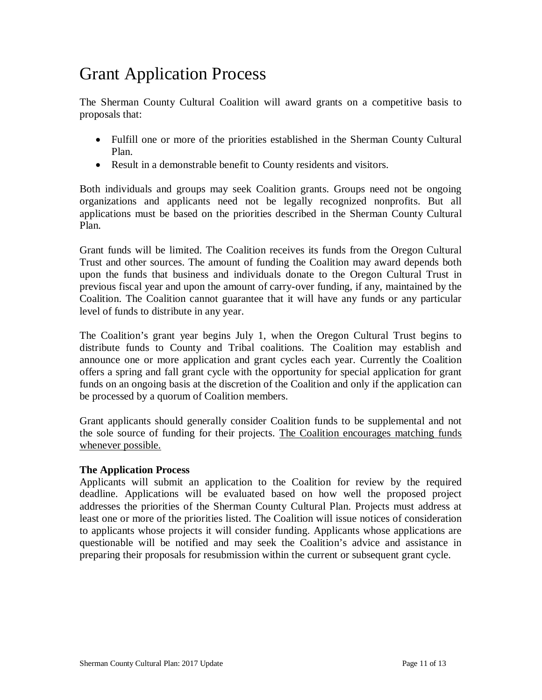## Grant Application Process

The Sherman County Cultural Coalition will award grants on a competitive basis to proposals that:

- Fulfill one or more of the priorities established in the Sherman County Cultural Plan.
- Result in a demonstrable benefit to County residents and visitors.

Both individuals and groups may seek Coalition grants. Groups need not be ongoing organizations and applicants need not be legally recognized nonprofits. But all applications must be based on the priorities described in the Sherman County Cultural Plan.

Grant funds will be limited. The Coalition receives its funds from the Oregon Cultural Trust and other sources. The amount of funding the Coalition may award depends both upon the funds that business and individuals donate to the Oregon Cultural Trust in previous fiscal year and upon the amount of carry-over funding, if any, maintained by the Coalition. The Coalition cannot guarantee that it will have any funds or any particular level of funds to distribute in any year.

The Coalition's grant year begins July 1, when the Oregon Cultural Trust begins to distribute funds to County and Tribal coalitions. The Coalition may establish and announce one or more application and grant cycles each year. Currently the Coalition offers a spring and fall grant cycle with the opportunity for special application for grant funds on an ongoing basis at the discretion of the Coalition and only if the application can be processed by a quorum of Coalition members.

Grant applicants should generally consider Coalition funds to be supplemental and not the sole source of funding for their projects. The Coalition encourages matching funds whenever possible.

### **The Application Process**

Applicants will submit an application to the Coalition for review by the required deadline. Applications will be evaluated based on how well the proposed project addresses the priorities of the Sherman County Cultural Plan. Projects must address at least one or more of the priorities listed. The Coalition will issue notices of consideration to applicants whose projects it will consider funding. Applicants whose applications are questionable will be notified and may seek the Coalition's advice and assistance in preparing their proposals for resubmission within the current or subsequent grant cycle.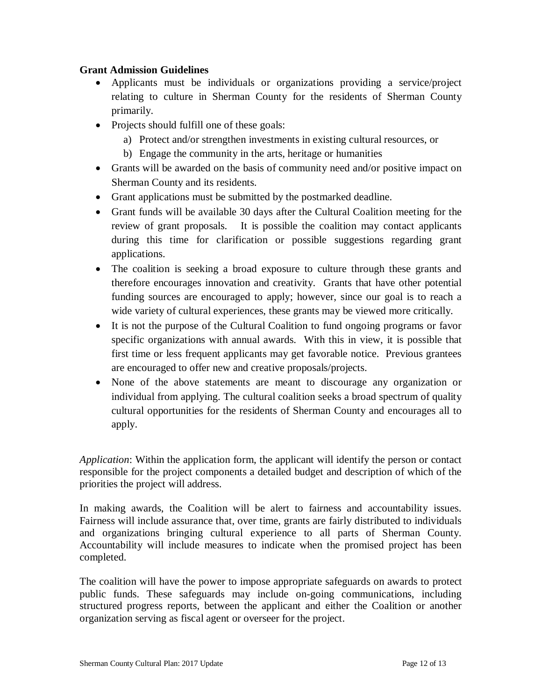### **Grant Admission Guidelines**

- Applicants must be individuals or organizations providing a service/project relating to culture in Sherman County for the residents of Sherman County primarily.
- Projects should fulfill one of these goals:
	- a) Protect and/or strengthen investments in existing cultural resources, or
	- b) Engage the community in the arts, heritage or humanities
- Grants will be awarded on the basis of community need and/or positive impact on Sherman County and its residents.
- Grant applications must be submitted by the postmarked deadline.
- Grant funds will be available 30 days after the Cultural Coalition meeting for the review of grant proposals. It is possible the coalition may contact applicants during this time for clarification or possible suggestions regarding grant applications.
- The coalition is seeking a broad exposure to culture through these grants and therefore encourages innovation and creativity. Grants that have other potential funding sources are encouraged to apply; however, since our goal is to reach a wide variety of cultural experiences, these grants may be viewed more critically.
- It is not the purpose of the Cultural Coalition to fund ongoing programs or favor specific organizations with annual awards. With this in view, it is possible that first time or less frequent applicants may get favorable notice. Previous grantees are encouraged to offer new and creative proposals/projects.
- None of the above statements are meant to discourage any organization or individual from applying. The cultural coalition seeks a broad spectrum of quality cultural opportunities for the residents of Sherman County and encourages all to apply.

*Application*: Within the application form, the applicant will identify the person or contact responsible for the project components a detailed budget and description of which of the priorities the project will address.

In making awards, the Coalition will be alert to fairness and accountability issues. Fairness will include assurance that, over time, grants are fairly distributed to individuals and organizations bringing cultural experience to all parts of Sherman County. Accountability will include measures to indicate when the promised project has been completed.

The coalition will have the power to impose appropriate safeguards on awards to protect public funds. These safeguards may include on-going communications, including structured progress reports, between the applicant and either the Coalition or another organization serving as fiscal agent or overseer for the project.